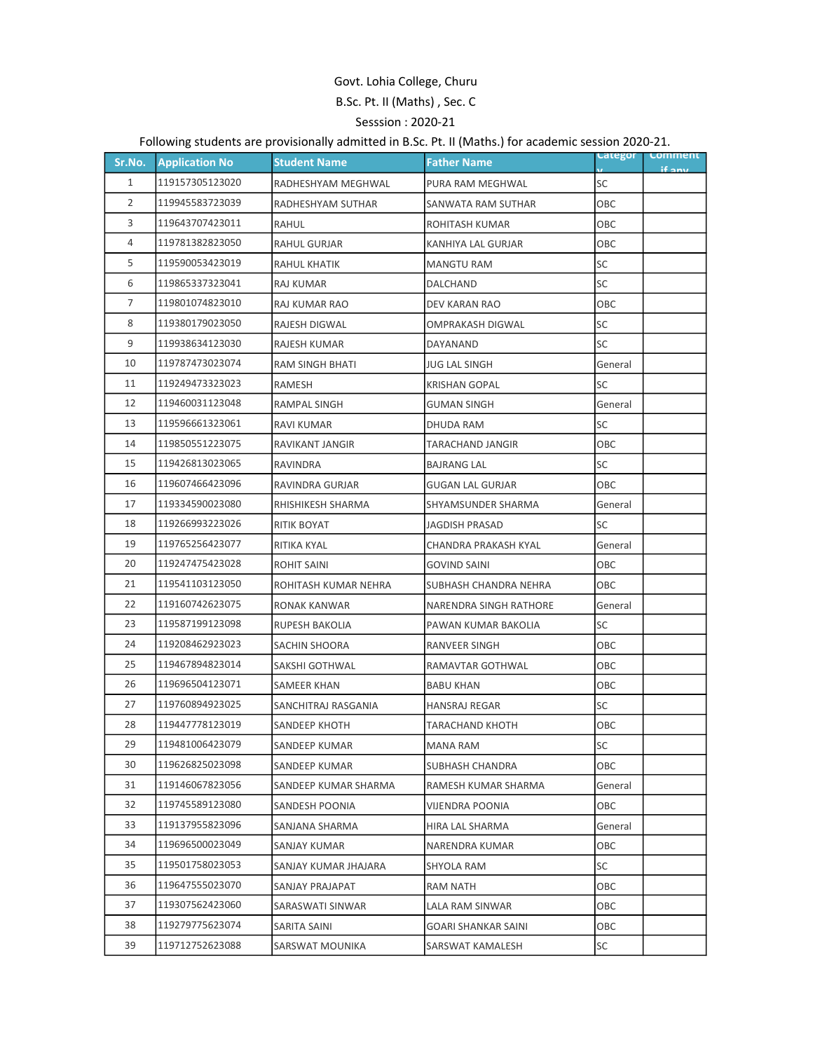## Govt. Lohia College, Churu B.Sc. Pt. II (Maths) , Sec. C Sesssion : 2020-21

## Following students are provisionally admitted in B.Sc. Pt. II (Maths.) for academic session 2020-21.

| Sr.No.         | <b>Application No</b> | <b>Student Name</b>    | <b>Father Name</b>         | <b>Categor</b> | <b>Comment</b><br>if any |
|----------------|-----------------------|------------------------|----------------------------|----------------|--------------------------|
| $\mathbf{1}$   | 119157305123020       | RADHESHYAM MEGHWAL     | PURA RAM MEGHWAL           | SC             |                          |
| $\overline{2}$ | 119945583723039       | RADHESHYAM SUTHAR      | SANWATA RAM SUTHAR         | OBC            |                          |
| 3              | 119643707423011       | <b>RAHUL</b>           | <b>ROHITASH KUMAR</b>      | ОВС            |                          |
| 4              | 119781382823050       | RAHUL GURJAR           | KANHIYA LAL GURJAR         | ОВС            |                          |
| 5              | 119590053423019       | RAHUL KHATIK           | <b>MANGTU RAM</b>          | SC             |                          |
| 6              | 119865337323041       | RAJ KUMAR              | DALCHAND                   | SC             |                          |
| 7              | 119801074823010       | RAJ KUMAR RAO          | DEV KARAN RAO              | ОВС            |                          |
| 8              | 119380179023050       | RAJESH DIGWAL          | OMPRAKASH DIGWAL           | SC             |                          |
| 9              | 119938634123030       | RAJESH KUMAR           | DAYANAND                   | SC             |                          |
| 10             | 119787473023074       | RAM SINGH BHATI        | <b>JUG LAL SINGH</b>       | General        |                          |
| 11             | 119249473323023       | RAMESH                 | <b>KRISHAN GOPAL</b>       | SC             |                          |
| 12             | 119460031123048       | RAMPAL SINGH           | <b>GUMAN SINGH</b>         | General        |                          |
| 13             | 119596661323061       | <b>RAVI KUMAR</b>      | <b>DHUDA RAM</b>           | SC             |                          |
| 14             | 119850551223075       | RAVIKANT JANGIR        | TARACHAND JANGIR           | OBC            |                          |
| 15             | 119426813023065       | <b>RAVINDRA</b>        | <b>BAJRANG LAL</b>         | SC             |                          |
| 16             | 119607466423096       | <b>RAVINDRA GURJAR</b> | <b>GUGAN LAL GURJAR</b>    | OBC            |                          |
| 17             | 119334590023080       | RHISHIKESH SHARMA      | <b>SHYAMSUNDER SHARMA</b>  | General        |                          |
| 18             | 119266993223026       | RITIK BOYAT            | JAGDISH PRASAD             | SC             |                          |
| 19             | 119765256423077       | RITIKA KYAL            | CHANDRA PRAKASH KYAL       | General        |                          |
| 20             | 119247475423028       | <b>ROHIT SAINI</b>     | <b>GOVIND SAINI</b>        | ОВС            |                          |
| 21             | 119541103123050       | ROHITASH KUMAR NEHRA   | SUBHASH CHANDRA NEHRA      | OBC            |                          |
| 22             | 119160742623075       | RONAK KANWAR           | NARENDRA SINGH RATHORE     | General        |                          |
| 23             | 119587199123098       | <b>RUPESH BAKOLIA</b>  | PAWAN KUMAR BAKOLIA        | SC             |                          |
| 24             | 119208462923023       | SACHIN SHOORA          | RANVEER SINGH              | OBC            |                          |
| 25             | 119467894823014       | <b>SAKSHI GOTHWAL</b>  | RAMAVTAR GOTHWAL           | OBC            |                          |
| 26             | 119696504123071       | <b>SAMEER KHAN</b>     | <b>BABU KHAN</b>           | ОВС            |                          |
| 27             | 119760894923025       | SANCHITRAJ RASGANIA    | <b>HANSRAJ REGAR</b>       | SC             |                          |
| 28             | 119447778123019       | SANDEEP KHOTH          | <b>TARACHAND KHOTH</b>     | ОВС            |                          |
| 29             | 119481006423079       | SANDEEP KUMAR          | <b>MANA RAM</b>            | SC             |                          |
| 30             | 119626825023098       | SANDEEP KUMAR          | SUBHASH CHANDRA            | ОВС            |                          |
| 31             | 119146067823056       | SANDEEP KUMAR SHARMA   | RAMESH KUMAR SHARMA        | General        |                          |
| 32             | 119745589123080       | SANDESH POONIA         | VIJENDRA POONIA            | ОВС            |                          |
| 33             | 119137955823096       | SANJANA SHARMA         | HIRA LAL SHARMA            | General        |                          |
| 34             | 119696500023049       | SANJAY KUMAR           | NARENDRA KUMAR             | ОВС            |                          |
| 35             | 119501758023053       | SANJAY KUMAR JHAJARA   | SHYOLA RAM                 | SC             |                          |
| 36             | 119647555023070       | SANJAY PRAJAPAT        | RAM NATH                   | OBC            |                          |
| 37             | 119307562423060       | SARASWATI SINWAR       | LALA RAM SINWAR            | ОВС            |                          |
| 38             | 119279775623074       | SARITA SAINI           | <b>GOARI SHANKAR SAINI</b> | ОВС            |                          |
| 39             | 119712752623088       | SARSWAT MOUNIKA        | SARSWAT KAMALESH           | SC             |                          |